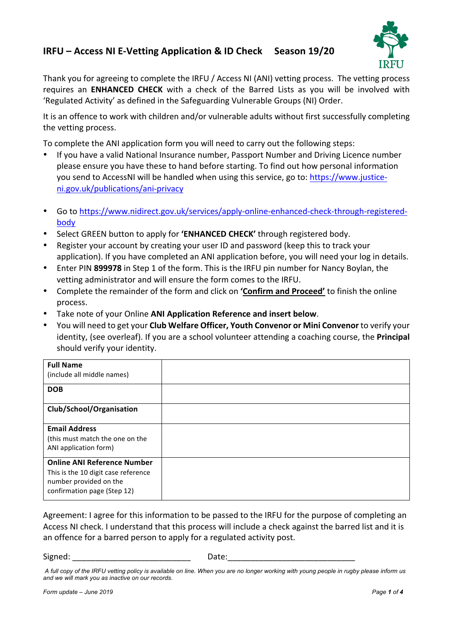# **IRFU – Access NI E-Vetting Application & ID Check Season 19/20**



Thank you for agreeing to complete the IRFU / Access NI (ANI) vetting process. The vetting process requires an **ENHANCED CHECK** with a check of the Barred Lists as you will be involved with 'Regulated Activity' as defined in the Safeguarding Vulnerable Groups (NI) Order.

It is an offence to work with children and/or vulnerable adults without first successfully completing the vetting process.

To complete the ANI application form you will need to carry out the following steps:

- If you have a valid National Insurance number, Passport Number and Driving Licence number please ensure you have these to hand before starting. To find out how personal information you send to AccessNI will be handled when using this service, go to: https://www.justiceni.gov.uk/publications/ani-privacy
- Go to https://www.nidirect.gov.uk/services/apply-online-enhanced-check-through-registeredbody
- Select GREEN button to apply for 'ENHANCED CHECK' through registered body.
- Register your account by creating your user ID and password (keep this to track your application). If you have completed an ANI application before, you will need your log in details.
- Enter PIN 899978 in Step 1 of the form. This is the IRFU pin number for Nancy Boylan, the vetting administrator and will ensure the form comes to the IRFU.
- Complete the remainder of the form and click on **'Confirm and Proceed'** to finish the online process.
- Take note of your Online **ANI Application Reference and insert below**.
- You will need to get your **Club Welfare Officer, Youth Convenor or Mini Convenor** to verify your identity, (see overleaf). If you are a school volunteer attending a coaching course, the **Principal** should verify your identity.

| <b>Full Name</b><br>(include all middle names)                                                                                     |  |
|------------------------------------------------------------------------------------------------------------------------------------|--|
| <b>DOB</b>                                                                                                                         |  |
| Club/School/Organisation                                                                                                           |  |
| <b>Email Address</b><br>(this must match the one on the<br>ANI application form)                                                   |  |
| <b>Online ANI Reference Number</b><br>This is the 10 digit case reference<br>number provided on the<br>confirmation page (Step 12) |  |

Agreement: I agree for this information to be passed to the IRFU for the purpose of completing an Access NI check. I understand that this process will include a check against the barred list and it is an offence for a barred person to apply for a regulated activity post.

Signed: \_\_\_\_\_\_\_\_\_\_\_\_\_\_\_\_\_\_\_\_\_\_\_\_\_\_\_\_\_\_\_\_ Date:\_\_\_\_\_\_\_\_\_\_\_\_\_\_\_\_\_\_\_\_\_\_\_\_\_\_\_\_\_\_\_\_\_

*A full copy of the IRFU vetting policy is available on line. When you are no longer working with young people in rugby please inform us and we will mark you as inactive on our records.*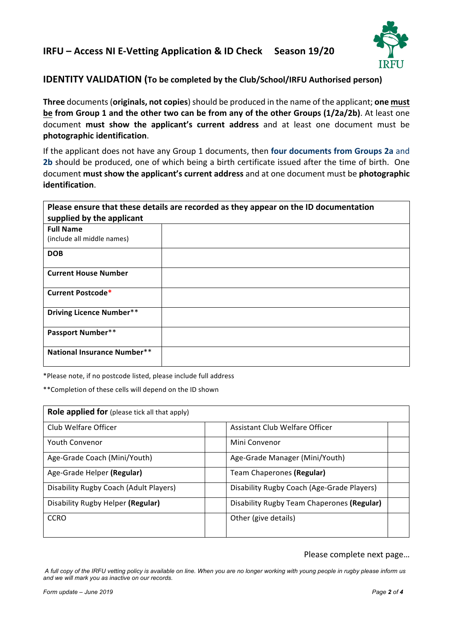## **IRFU – Access NI E-Vetting Application & ID Check Season 19/20**



## **IDENTITY VALIDATION** (To be completed by the Club/School/IRFU Authorised person)

**Three** documents (**originals, not copies**) should be produced in the name of the applicant; **one must be** from Group 1 and the other two can be from any of the other Groups (1/2a/2b). At least one document **must show the applicant's current address** and at least one document must be **photographic identification**. 

If the applicant does not have any Group 1 documents, then **four documents from Groups 2a** and **2b** should be produced, one of which being a birth certificate issued after the time of birth. One document **must show the applicant's current address** and at one document must be **photographic identification**.

| Please ensure that these details are recorded as they appear on the ID documentation |  |  |  |
|--------------------------------------------------------------------------------------|--|--|--|
| supplied by the applicant                                                            |  |  |  |
| <b>Full Name</b>                                                                     |  |  |  |
| (include all middle names)                                                           |  |  |  |
| <b>DOB</b>                                                                           |  |  |  |
| <b>Current House Number</b>                                                          |  |  |  |
| Current Postcode*                                                                    |  |  |  |
| <b>Driving Licence Number**</b>                                                      |  |  |  |
| <b>Passport Number**</b>                                                             |  |  |  |
| <b>National Insurance Number**</b>                                                   |  |  |  |

\*Please note, if no postcode listed, please include full address

\*\*Completion of these cells will depend on the ID shown

| Role applied for (please tick all that apply) |                                            |  |
|-----------------------------------------------|--------------------------------------------|--|
| Club Welfare Officer                          | Assistant Club Welfare Officer             |  |
| <b>Youth Convenor</b>                         | Mini Convenor                              |  |
| Age-Grade Coach (Mini/Youth)                  | Age-Grade Manager (Mini/Youth)             |  |
| Age-Grade Helper (Regular)                    | Team Chaperones (Regular)                  |  |
| Disability Rugby Coach (Adult Players)        | Disability Rugby Coach (Age-Grade Players) |  |
| Disability Rugby Helper (Regular)             | Disability Rugby Team Chaperones (Regular) |  |
| <b>CCRO</b>                                   | Other (give details)                       |  |
|                                               |                                            |  |

### Please complete next page...

*A full copy of the IRFU vetting policy is available on line. When you are no longer working with young people in rugby please inform us and we will mark you as inactive on our records.*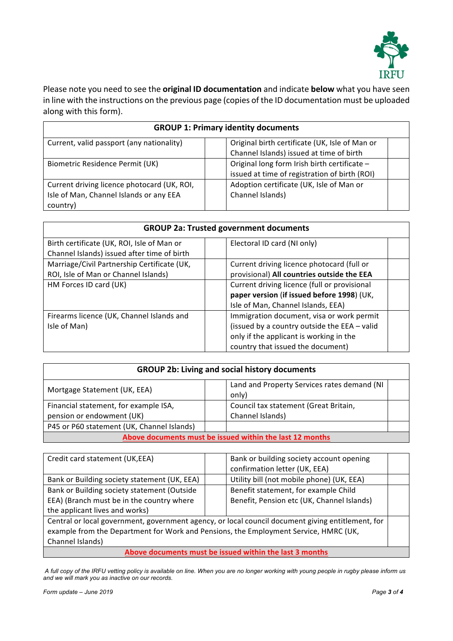

Please note you need to see the **original ID documentation** and indicate **below** what you have seen in line with the instructions on the previous page (copies of the ID documentation must be uploaded along with this form).

| <b>GROUP 1: Primary identity documents</b>  |                                                |  |
|---------------------------------------------|------------------------------------------------|--|
| Current, valid passport (any nationality)   | Original birth certificate (UK, Isle of Man or |  |
|                                             | Channel Islands) issued at time of birth       |  |
| Biometric Residence Permit (UK)             | Original long form Irish birth certificate -   |  |
|                                             | issued at time of registration of birth (ROI)  |  |
| Current driving licence photocard (UK, ROI, | Adoption certificate (UK, Isle of Man or       |  |
| Isle of Man, Channel Islands or any EEA     | Channel Islands)                               |  |
| country)                                    |                                                |  |

| <b>GROUP 2a: Trusted government documents</b> |                                              |  |
|-----------------------------------------------|----------------------------------------------|--|
| Birth certificate (UK, ROI, Isle of Man or    | Electoral ID card (NI only)                  |  |
| Channel Islands) issued after time of birth   |                                              |  |
| Marriage/Civil Partnership Certificate (UK,   | Current driving licence photocard (full or   |  |
| ROI, Isle of Man or Channel Islands)          | provisional) All countries outside the EEA   |  |
| HM Forces ID card (UK)                        | Current driving licence (full or provisional |  |
|                                               | paper version (if issued before 1998) (UK,   |  |
|                                               | Isle of Man, Channel Islands, EEA)           |  |
| Firearms licence (UK, Channel Islands and     | Immigration document, visa or work permit    |  |
| Isle of Man)                                  | (issued by a country outside the EEA - valid |  |
|                                               | only if the applicant is working in the      |  |
|                                               | country that issued the document)            |  |

| <b>GROUP 2b: Living and social history documents</b>     |                                                      |  |  |
|----------------------------------------------------------|------------------------------------------------------|--|--|
| Mortgage Statement (UK, EEA)                             | Land and Property Services rates demand (NI<br>only) |  |  |
| Financial statement, for example ISA,                    | Council tax statement (Great Britain,                |  |  |
| pension or endowment (UK)                                | Channel Islands)                                     |  |  |
| P45 or P60 statement (UK, Channel Islands)               |                                                      |  |  |
| Above documents must be issued within the last 12 months |                                                      |  |  |

| Credit card statement (UK,EEA)                                                                    |  | Bank or building society account opening                |  |
|---------------------------------------------------------------------------------------------------|--|---------------------------------------------------------|--|
|                                                                                                   |  | confirmation letter (UK, EEA)                           |  |
| Bank or Building society statement (UK, EEA)                                                      |  | Utility bill (not mobile phone) (UK, EEA)               |  |
| Bank or Building society statement (Outside                                                       |  | Benefit statement, for example Child                    |  |
| EEA) (Branch must be in the country where                                                         |  | Benefit, Pension etc (UK, Channel Islands)              |  |
| the applicant lives and works)                                                                    |  |                                                         |  |
| Central or local government, government agency, or local council document giving entitlement, for |  |                                                         |  |
| example from the Department for Work and Pensions, the Employment Service, HMRC (UK,              |  |                                                         |  |
| Channel Islands)                                                                                  |  |                                                         |  |
|                                                                                                   |  | Above documents must be issued within the last 3 months |  |

*A full copy of the IRFU vetting policy is available on line. When you are no longer working with young people in rugby please inform us and we will mark you as inactive on our records.*